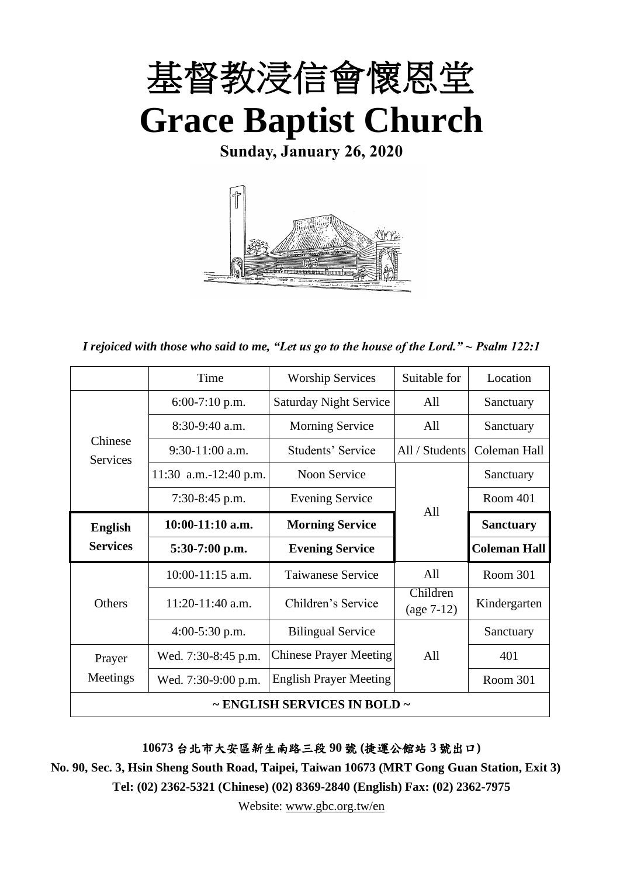

**Sunday, January 26, 2020**



*I rejoiced with those who said to me, "Let us go to the house of the Lord." ~ Psalm 122:1*

|                            | Time                  | <b>Worship Services</b>                | Suitable for             | Location            |
|----------------------------|-----------------------|----------------------------------------|--------------------------|---------------------|
|                            | $6:00-7:10$ p.m.      | <b>Saturday Night Service</b>          | All                      | Sanctuary           |
|                            | $8:30-9:40$ a.m.      | <b>Morning Service</b>                 | All                      | Sanctuary           |
| Chinese<br><b>Services</b> | $9:30-11:00$ a.m.     | Students' Service                      | All / Students           | Coleman Hall        |
|                            | 11:30 a.m.-12:40 p.m. | <b>Noon Service</b>                    |                          | Sanctuary           |
|                            | $7:30-8:45$ p.m.      | <b>Evening Service</b>                 | All                      | Room 401            |
| <b>English</b>             | $10:00-11:10$ a.m.    | <b>Morning Service</b>                 |                          | <b>Sanctuary</b>    |
| <b>Services</b>            | $5:30-7:00$ p.m.      | <b>Evening Service</b>                 |                          | <b>Coleman Hall</b> |
|                            | 10:00-11:15 a.m.      | <b>Taiwanese Service</b>               | All                      | Room 301            |
| Others                     | 11:20-11:40 a.m.      | Children's Service                     | Children<br>$(age 7-12)$ | Kindergarten        |
|                            | $4:00-5:30$ p.m.      | <b>Bilingual Service</b>               |                          | Sanctuary           |
| Prayer                     | Wed. 7:30-8:45 p.m.   | <b>Chinese Prayer Meeting</b>          | All                      | 401                 |
| Meetings                   | Wed. 7:30-9:00 p.m.   | <b>English Prayer Meeting</b>          |                          | Room 301            |
|                            |                       | $\sim$ ENGLISH SERVICES IN BOLD $\sim$ |                          |                     |

**10673** 台北市大安區新生南路三段 **90** 號 **(**捷運公館站 **3** 號出口**)**

**No. 90, Sec. 3, Hsin Sheng South Road, Taipei, Taiwan 10673 (MRT Gong Guan Station, Exit 3) Tel: (02) 2362-5321 (Chinese) (02) 8369-2840 (English) Fax: (02) 2362-7975**

Website: [www.gbc.org.tw/en](http://www.gbc.org.tw/en)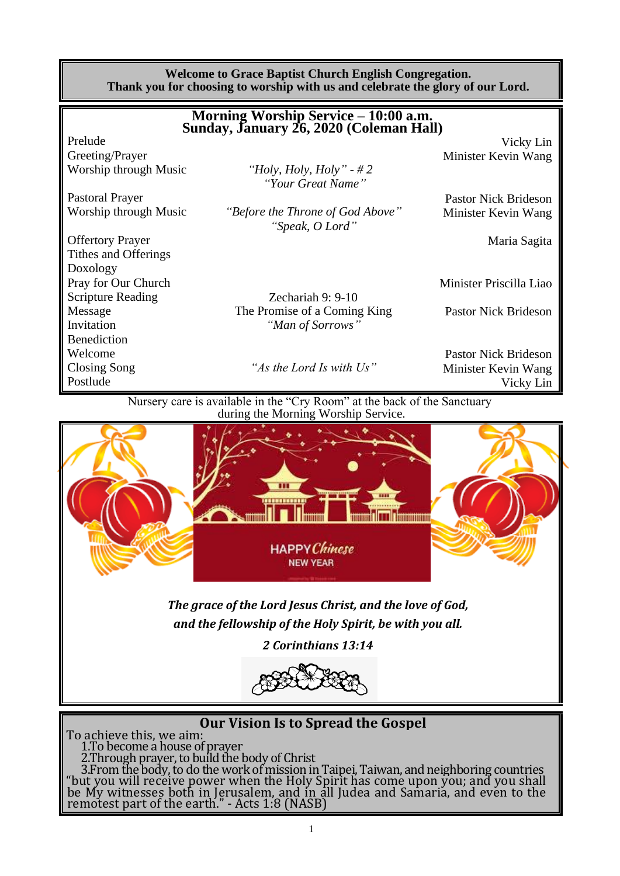|                         | <b>Welcome to Grace Baptist Church English Congregation.</b><br>Thank you for choosing to worship with us and celebrate the glory of our Lord. |                             |
|-------------------------|------------------------------------------------------------------------------------------------------------------------------------------------|-----------------------------|
|                         | Morning Worship Service – 10:00 a.m.<br>Sunday, January 26, 2020 (Coleman Hall)                                                                |                             |
| Prelude                 |                                                                                                                                                | Vicky Lin                   |
| Greeting/Prayer         |                                                                                                                                                | Minister Kevin Wang         |
| Worship through Music   | "Holy, Holy, Holy" - $#2$                                                                                                                      |                             |
|                         | "Your Great Name"                                                                                                                              |                             |
| <b>Pastoral Prayer</b>  |                                                                                                                                                | <b>Pastor Nick Brideson</b> |
| Worship through Music   | "Before the Throne of God Above"<br>"Speak, O Lord"                                                                                            | Minister Kevin Wang         |
| <b>Offertory Prayer</b> |                                                                                                                                                | Maria Sagita                |
| Tithes and Offerings    |                                                                                                                                                |                             |
| Doxology                |                                                                                                                                                |                             |
| Pray for Our Church     |                                                                                                                                                | Minister Priscilla Liao     |

Scripture Reading Zechariah 9: 9-10 Message The Promise of a Coming King Pastor Nick Brideson<br>
The Promise of a Coming King Pastor Nick Brideson<br>
"Man of Sorrows" "Man of Sorrows"

Benediction

Closing Song *"As the Lord Is with Us"* Minister Kevin Wang

Welcome **Pastor Nick Brideson** Pastor Nick Brideson Postlude Vicky Lin

> Nursery care is available in the "Cry Room" at the back of the Sanctuary during the Morning Worship Service.



*and the fellowship of the Holy Spirit, be with you all.*

*2 Corinthians 13:14*



# **Our Vision Is to Spread the Gospel**

To achieve this, we aim: 1.To become a house of prayer 2.Through prayer, to build the body of Christ 3.From the body, to do the work of mission in Taipei, Taiwan, and neighboring countries "but you will receive power when the Holy Spirit has come upon you; and you shall be My witnesses both in Jerusalem, and in all Judea and Samaria, and even to the remotest part of the earth." - Acts 1:8 (NASB)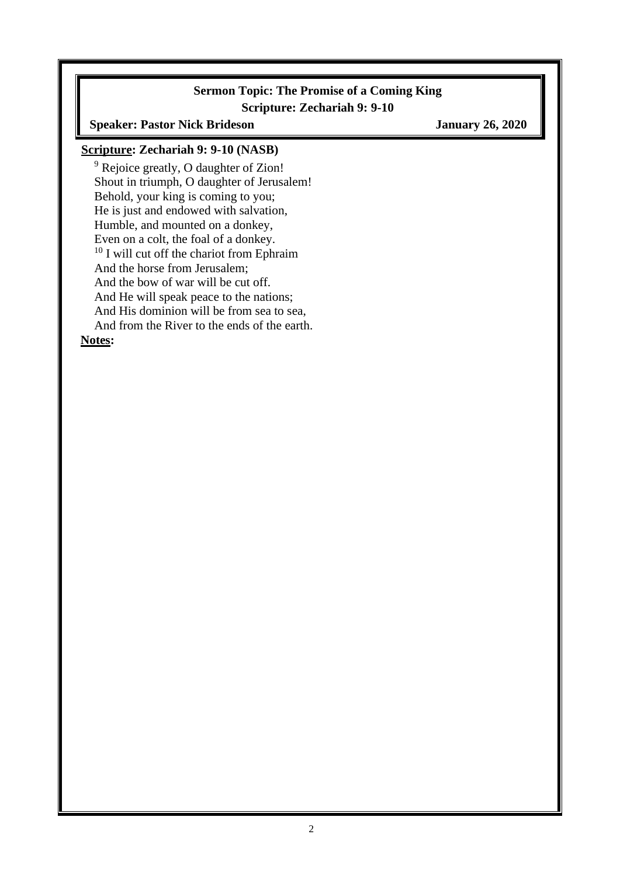#### **Sermon Topic: The Promise of a Coming King Scripture: Zechariah 9: 9-10**

**Speaker: Pastor Nick Brideson January 26, 2020**

#### **Scripture: Zechariah 9: 9-10 (NASB)**

<sup>9</sup> Rejoice greatly, O daughter of Zion! Shout in triumph, O daughter of Jerusalem! Behold, your king is coming to you; He is just and endowed with salvation, Humble, and mounted on a donkey, Even on a colt, the foal of a donkey. <sup>10</sup> I will cut off the chariot from Ephraim And the horse from Jerusalem; And the bow of war will be cut off. And He will speak peace to the nations; And His dominion will be from sea to sea, And from the River to the ends of the earth. **Notes:**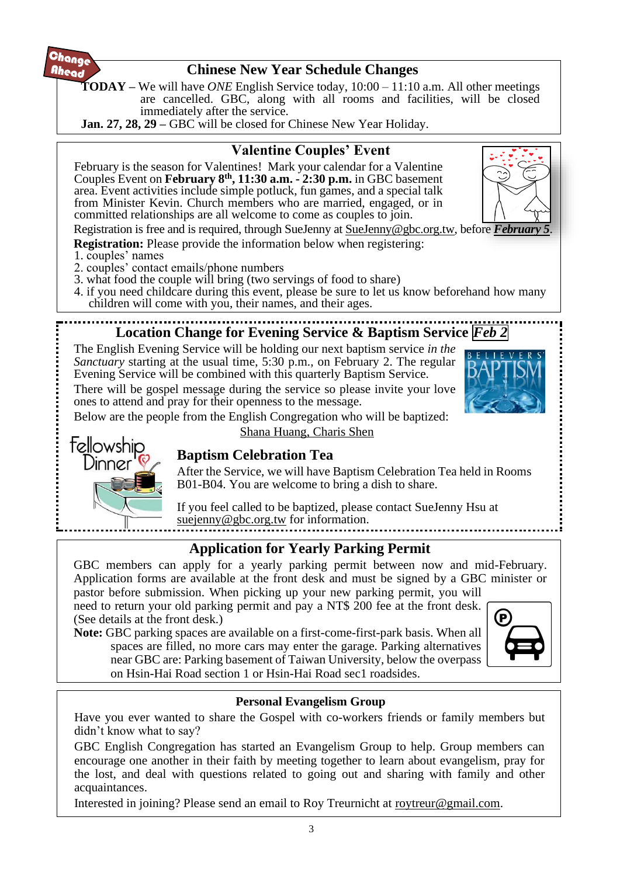

# **Chinese New Year Schedule Changes**

**TODAY –** We will have *ONE* English Service today, 10:00 – 11:10 a.m. All other meetings are cancelled. GBC, along with all rooms and facilities, will be closed immediately after the service.

**Jan. 27, 28, 29 – GBC** will be closed for Chinese New Year Holiday.



need to return your old parking permit and pay a NT\$ 200 fee at the front desk. (See details at the front desk.)

**Note:** GBC parking spaces are available on a first-come-first-park basis. When all spaces are filled, no more cars may enter the garage. Parking alternatives near GBC are: Parking basement of Taiwan University, below the overpass on Hsin-Hai Road section 1 or Hsin-Hai Road sec1 roadsides.



#### **Personal Evangelism Group**

Have you ever wanted to share the Gospel with co-workers friends or family members but didn't know what to say?

GBC English Congregation has started an Evangelism Group to help. Group members can encourage one another in their faith by meeting together to learn about evangelism, pray for the lost, and deal with questions related to going out and sharing with family and other acquaintances.

Interested in joining? Please send an email to Roy Treurnicht at [roytreur@gmail.com.](mailto:roytreur@gmail.com)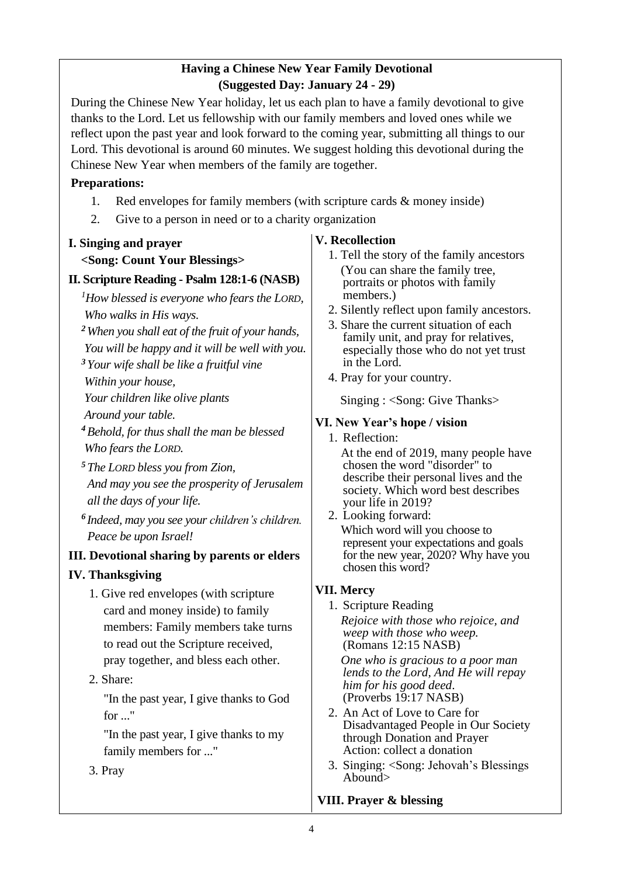### **Having a Chinese New Year Family Devotional (Suggested Day: January 24 - 29)**

During the Chinese New Year holiday, let us each plan to have a family devotional to give thanks to the Lord. Let us fellowship with our family members and loved ones while we reflect upon the past year and look forward to the coming year, submitting all things to our Lord. This devotional is around 60 minutes. We suggest holding this devotional during the Chinese New Year when members of the family are together.

#### **Preparations:**

- 1. Red envelopes for family members (with scripture cards & money inside)
- 2. Give to a person in need or to a charity organization

#### **I. Singing and prayer**

#### **<Song: Count Your Blessings>**

#### **II. Scripture Reading - Psalm 128:1-6 (NASB)**

*<sup>1</sup>How blessed is everyone who fears the LORD, Who walks in His ways.*

*<sup>2</sup>When you shall eat of the fruit of your hands,*

*You will be happy and it will be well with you.*

*<sup>3</sup>Your wife shall be like a fruitful vine*

*Within your house,*

*Your children like olive plants*

*Around your table.*

*<sup>4</sup>Behold, for thus shall the man be blessed Who fears the LORD.*

- *<sup>5</sup>The LORD bless you from Zion, And may you see the prosperity of Jerusalem all the days of your life.*
- *6 Indeed, may you see your children's children. Peace be upon Israel!*

#### **III. Devotional sharing by parents or elders**

#### **IV. Thanksgiving**

1. Give red envelopes (with scripture card and money inside) to family members: Family members take turns to read out the Scripture received, pray together, and bless each other.

#### 2. Share:

"In the past year, I give thanks to God  $for "$ 

"In the past year, I give thanks to my family members for ..."

3. Pray

#### **V. Recollection**

- 1. Tell the story of the family ancestors (You can share the family tree, portraits or photos with family members.)
- 2. Silently reflect upon family ancestors.
- 3. Share the current situation of each family unit, and pray for relatives, especially those who do not yet trust in the Lord.
- 4. Pray for your country.

Singing : <Song: Give Thanks>

#### **VI. New Year's hope / vision**

1. Reflection:

At the end of 2019, many people have chosen the word "disorder" to describe their personal lives and the society. Which word best describes your life in 2019?

2. Looking forward: Which word will you choose to represent your expectations and goals for the new year, 2020? Why have you chosen this word?

#### **VII. Mercy**

1. Scripture Reading *Rejoice with those who rejoice, and weep with those who weep.* (Romans 12:15 NASB)

*One who is gracious to a poor man lends to the Lord, And He will repay him for his good deed*. (Proverbs 19:17 NASB)

- 2. An Act of Love to Care for Disadvantaged People in Our Society through Donation and Prayer Action: collect a donation
- 3. Singing: <Song: Jehovah's Blessings Abound>

#### **VIII. Prayer & blessing**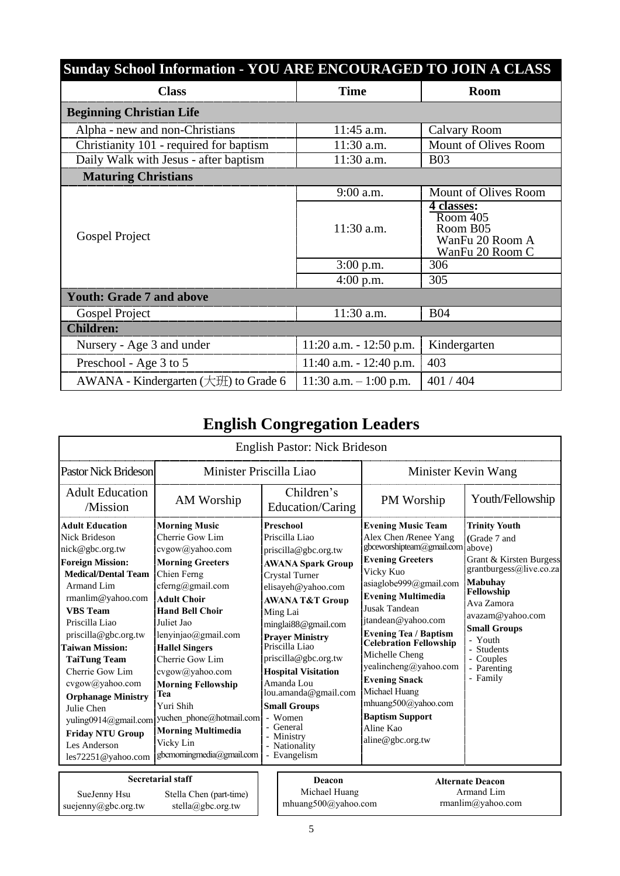| <b>Sunday School Information - YOU ARE ENCOURAGED TO JOIN A CLASS</b> |                            |                                                                                 |
|-----------------------------------------------------------------------|----------------------------|---------------------------------------------------------------------------------|
| <b>Class</b>                                                          | <b>Time</b>                | <b>Room</b>                                                                     |
| <b>Beginning Christian Life</b>                                       |                            |                                                                                 |
| Alpha - new and non-Christians                                        | $11:45$ a.m.               | Calvary Room                                                                    |
| Christianity 101 - required for baptism                               | $11:30$ a.m.               | Mount of Olives Room                                                            |
| Daily Walk with Jesus - after baptism                                 | 11:30 a.m.                 | <b>B03</b>                                                                      |
| <b>Maturing Christians</b>                                            |                            |                                                                                 |
|                                                                       | $9:00$ a.m.                | Mount of Olives Room                                                            |
| Gospel Project                                                        | $11:30$ a.m.               | <u>4 classes:</u><br>Room 405<br>Room B05<br>WanFu 20 Room A<br>WanFu 20 Room C |
|                                                                       | $3:00$ p.m.                | 306                                                                             |
|                                                                       | $4:00$ p.m.                | 305                                                                             |
| <b>Youth: Grade 7 and above</b>                                       |                            |                                                                                 |
| Gospel Project                                                        | 11:30 a.m.                 | <b>B04</b>                                                                      |
| <b>Children:</b>                                                      |                            |                                                                                 |
| Nursery - Age 3 and under                                             | $11:20$ a.m. $-12:50$ p.m. | Kindergarten                                                                    |
| Preschool - Age 3 to 5                                                | $11:40$ a.m. $-12:40$ p.m. | 403                                                                             |
| AWANA - Kindergarten (大班) to Grade 6                                  | 11:30 a.m. $-1:00$ p.m.    | 401/404                                                                         |

# **English Congregation Leaders**

|                                                                                                     |                                                                                                              | <b>English Pastor: Nick Brideson</b>                                                                  |                                                                                             |                                                                                    |
|-----------------------------------------------------------------------------------------------------|--------------------------------------------------------------------------------------------------------------|-------------------------------------------------------------------------------------------------------|---------------------------------------------------------------------------------------------|------------------------------------------------------------------------------------|
| <b>Pastor Nick Brideson</b>                                                                         | Minister Priscilla Liao                                                                                      |                                                                                                       | Minister Kevin Wang                                                                         |                                                                                    |
| <b>Adult Education</b><br>/Mission                                                                  | AM Worship                                                                                                   | Children's<br>Education/Caring                                                                        | PM Worship                                                                                  | Youth/Fellowship                                                                   |
| <b>Adult Education</b><br><b>Nick Brideson</b>                                                      | <b>Morning Music</b><br>Cherrie Gow Lim                                                                      | <b>Preschool</b><br>Priscilla Liao                                                                    | <b>Evening Music Team</b><br>Alex Chen /Renee Yang                                          | <b>Trinity Youth</b>                                                               |
| nick@gbc.org.tw                                                                                     | cvgow@yahoo.com                                                                                              | priscilla@gbc.org.tw                                                                                  | gbceworshipteam@gmail.com                                                                   | (Grade 7 and<br>above)                                                             |
| <b>Foreign Mission:</b><br><b>Medical/Dental Team</b><br>Armand Lim<br>rmanlim@yahoo.com            | <b>Morning Greeters</b><br>Chien Ferng<br>cferng@gmail.com<br><b>Adult Choir</b>                             | <b>AWANA Spark Group</b><br><b>Crystal Turner</b><br>elisayeh@yahoo.com<br><b>AWANA T&amp;T Group</b> | <b>Evening Greeters</b><br>Vicky Kuo<br>asiaglobe999@gmail.com<br><b>Evening Multimedia</b> | Grant & Kirsten Burgess<br>grantburgess@live.co.za<br><b>Mabuhay</b><br>Fellowship |
| <b>VBS</b> Team<br>Priscilla Liao<br>priscilla@gbc.org.tw                                           | <b>Hand Bell Choir</b><br>Juliet Jao<br>lenyinjao@gmail.com                                                  | Ming Lai<br>minglai88@gmail.com<br><b>Praver Ministry</b>                                             | <b>Jusak Tandean</b><br>jtandean@yahoo.com<br><b>Evening Tea / Baptism</b>                  | Ava Zamora<br>avazam@yahoo.com<br><b>Small Groups</b>                              |
| <b>Taiwan Mission:</b><br><b>TaiTung Team</b>                                                       | <b>Hallel Singers</b><br>Cherrie Gow Lim                                                                     | Priscilla Liao<br>priscilla@gbc.org.tw                                                                | <b>Celebration Fellowship</b><br>Michelle Cheng<br>yealincheng@yahoo.com                    | - Youth<br>- Students<br>- Couples<br>- Parenting                                  |
| Cherrie Gow Lim<br>cvgow@yahoo.com<br><b>Orphanage Ministry</b>                                     | cvgow@yahoo.com<br><b>Morning Fellowship</b><br>Tea                                                          | <b>Hospital Visitation</b><br>Amanda Lou<br>lou.amanda@gmail.com                                      | <b>Evening Snack</b><br>Michael Huang<br>mhuang500@yahoo.com                                | - Family                                                                           |
| Julie Chen<br>yuling0914@gmail.com<br><b>Friday NTU Group</b><br>Les Anderson<br>les72251@yahoo.com | Yuri Shih<br>yuchen phone@hotmail.com<br><b>Morning Multimedia</b><br>Vicky Lin<br>gbcmorningmedia@gmail.com | <b>Small Groups</b><br>- Women<br>- General<br>- Ministry<br>- Nationality<br>- Evangelism            | <b>Baptism Support</b><br>Aline Kao<br>aline@gbc.org.tw                                     |                                                                                    |
| SueJenny Hsu<br>suejenny@gbc.org.tw                                                                 | <b>Secretarial staff</b><br>Stella Chen (part-time)<br>stella@gbc.org.tw                                     | Deacon<br>Michael Huang<br>mhuang500@yahoo.com                                                        |                                                                                             | <b>Alternate Deacon</b><br>Armand Lim<br>rmanlim@yahoo.com                         |

 $\mathsf{l}$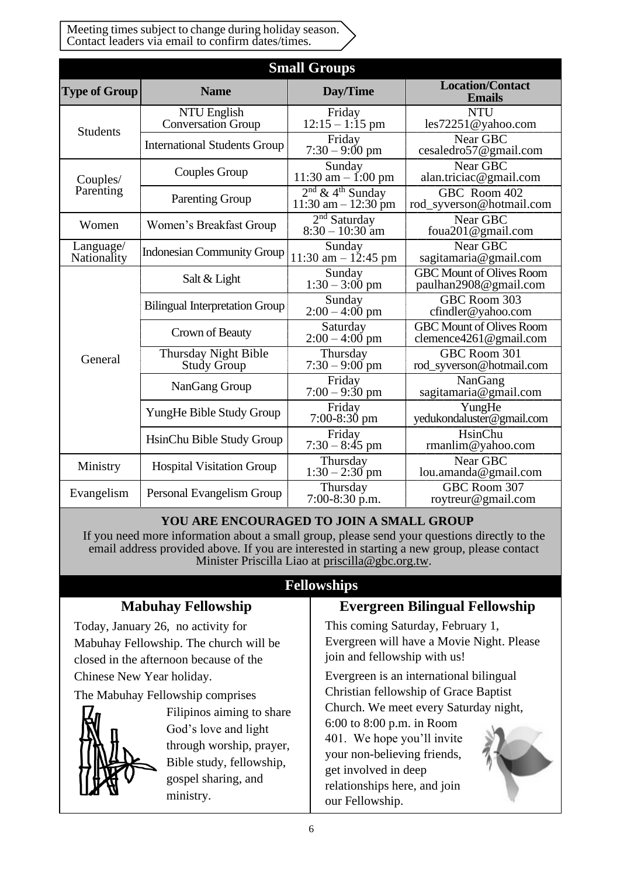Meeting times subject to change during holiday season. Contact leaders via email to confirm dates/times.

|                          |                                            | <b>Small Groups</b>                                      |                                                           |
|--------------------------|--------------------------------------------|----------------------------------------------------------|-----------------------------------------------------------|
| <b>Type of Group</b>     | <b>Name</b>                                | Day/Time                                                 | <b>Location/Contact</b><br><b>Emails</b>                  |
| <b>Students</b>          | NTU English<br><b>Conversation Group</b>   | Friday<br>$12:15 - 1:15$ pm                              | <b>NTU</b><br>les72251@yahoo.com                          |
|                          | <b>International Students Group</b>        | Friday<br>$7:30 - 9:00 \text{ pm}$                       | Near GBC<br>cesaledro57@gmail.com                         |
| Couples/                 | <b>Couples Group</b>                       | Sunday<br>$11:30$ am $- 1:00$ pm                         | Near GBC<br>alan.triciac@gmail.com                        |
| Parenting                | <b>Parenting Group</b>                     | $2nd$ & 4 <sup>th</sup> Sunday<br>$11:30$ am $-12:30$ pm | GBC Room 402<br>rod_syverson@hotmail.com                  |
| Women                    | Women's Breakfast Group                    | $2nd$ Saturday<br>$8:30 - 10:30$ am                      | Near GBC<br>foua201 $@$ gmail.com                         |
| Language/<br>Nationality | <b>Indonesian Community Group</b>          | Sunday<br>11:30 am $- 12:45$ pm                          | Near GBC<br>sagitamaria@gmail.com                         |
|                          | Salt & Light                               | Sunday<br>$1:30 - 3:00$ pm                               | <b>GBC Mount of Olives Room</b><br>paulhan2908@gmail.com  |
|                          | <b>Bilingual Interpretation Group</b>      | Sunday<br>$2:00 - 4:00$ pm                               | GBC Room 303<br>cfindler@yahoo.com                        |
|                          | Crown of Beauty                            | Saturday<br>$2:00 - 4:00$ pm                             | <b>GBC Mount of Olives Room</b><br>clemence4261@gmail.com |
| General                  | <b>Thursday Night Bible</b><br>Study Group | Thursday<br>$7:30 - 9:00$ pm                             | GBC Room 301<br>rod_syverson@hotmail.com                  |
|                          | NanGang Group                              | Friday<br>$7:00 - 9:30$ pm                               | NanGang<br>sagitamaria@gmail.com                          |
|                          | YungHe Bible Study Group                   | Friday<br>$7:00-8:30$ pm                                 | YungHe<br>yedukondaluster@gmail.com                       |
|                          | HsinChu Bible Study Group                  | Friday<br>$7:30 - 8:45$ pm                               | HsinChu<br>rmanlim@yahoo.com                              |
| Ministry                 | <b>Hospital Visitation Group</b>           | Thursday<br>$1:30 - 2:30$ pm                             | Near GBC<br>lou.amanda@gmail.com                          |
| Evangelism               | Personal Evangelism Group                  | Thursday<br>$7:00-8:30$ p.m.                             | GBC Room 307<br>roytreur@gmail.com                        |

#### **YOU ARE ENCOURAGED TO JOIN A SMALL GROUP**

If you need more information about a small group, please send your questions directly to the email address provided above. If you are interested in starting a new group, please contact Minister Priscilla Liao at [priscilla@gbc.org.tw.](mailto:priscilla@gbc.org.tw)

# **Fellowships**

# **Mabuhay Fellowship**

Today, January 26, no activity for Mabuhay Fellowship. The church will be closed in the afternoon because of the Chinese New Year holiday.

The Mabuhay Fellowship comprises



Filipinos aiming to share God's love and light through worship, prayer, Bible study, fellowship, gospel sharing, and ministry.

# **Evergreen Bilingual Fellowship**

This coming Saturday, February 1, Evergreen will have a Movie Night. Please join and fellowship with us!

Evergreen is an international bilingual Christian fellowship of Grace Baptist Church. We meet every Saturday night,

6:00 to 8:00 p.m. in Room 401. We hope you'll invite your non-believing friends, get involved in deep relationships here, and join our Fellowship.